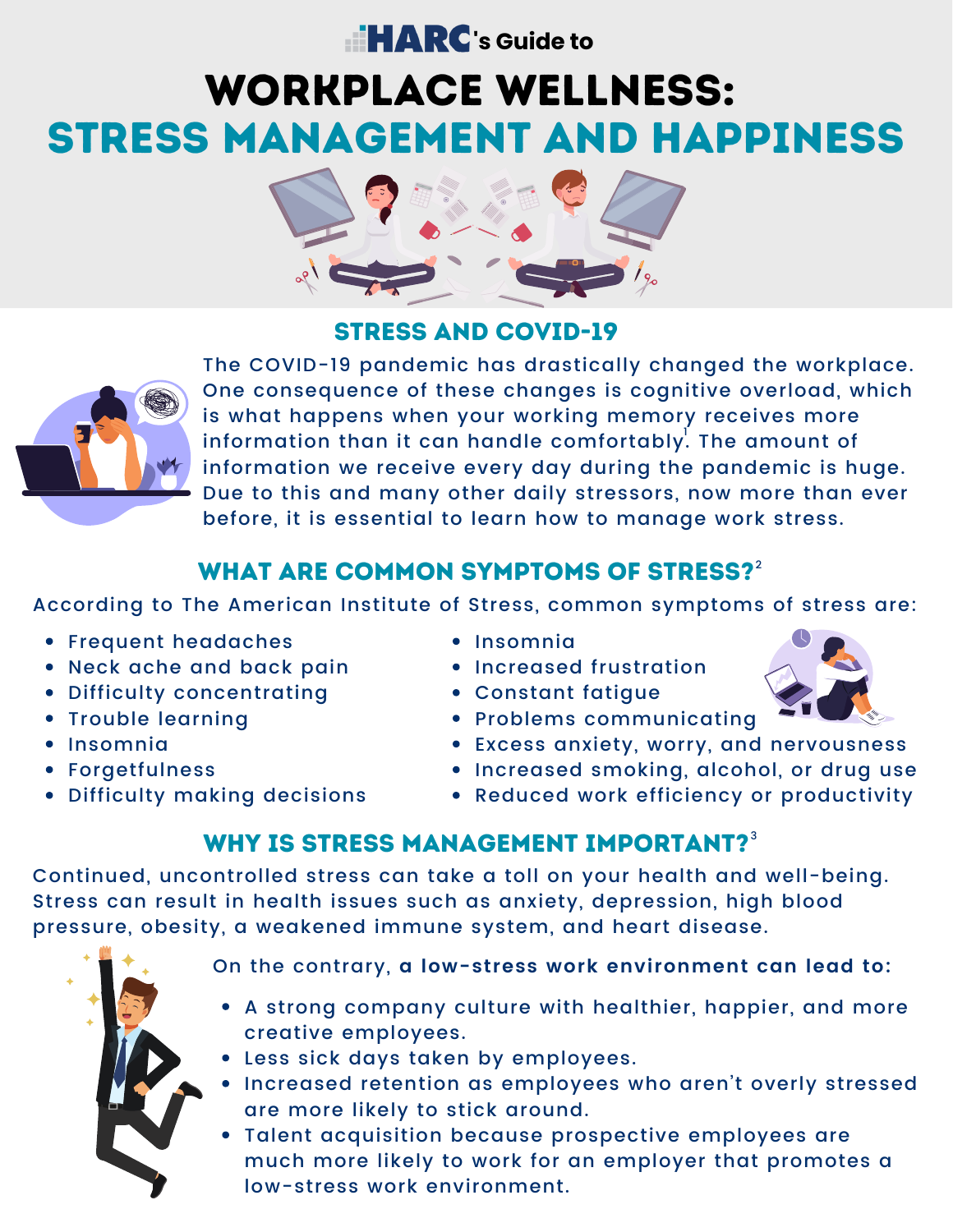# **Example 12 RC**'s Guide to

# WORKPLACE WELLNESS: STRESS MANAGEMENT AND HAPPINESS



#### STRESS AND COVID-19



The COVID-19 pandemic has drastically changed the workplace. One consequence of these changes is cognitive overload, which is what happens when your working memory receives more information than it can handle comfortably $\rlap{.}^\mathsf{L}$  The amount of information we receive every day during the pandemic is huge. Due to this and many other daily stressors, now more than ever before, it is essential to learn how to manage work stress.

## WHAT ARE COMMON SYMPTOMS OF STRESS? $^2$  $^2$

According to The American Institute of Stress, common [symptoms](https://www.stress.org/stress-effects/) of stress are:

- Frequent headaches
- Neck ache and back pain
- Difficulty concentrating
- Trouble learning
- Insomnia
- Forgetfulness
- Difficulty making decisions
- Insomnia
- Increased frustration
- Constant fatigue
- Problems communicating
- Excess anxiety, worry, and nervousness
- Increased smoking, alcohol, or drug use
- Reduced work efficiency or productivity

#### WHY IS STRESS MANAGEMENT IMPORTANT? $^{\rm 3}$  $^{\rm 3}$  $^{\rm 3}$

Continued, uncontrolled stress can take a toll on your health and well-being. Stress can result in health issues such as anxiety, depression, high blood pressure, obesity, a weakened immune system, and heart disease.



- On the contrary, **a low-stress work environment can lead to:**
	- A strong company culture with healthier, happier, and more creative employees.
	- Less sick days taken by employees.
- Increased retention as employees who aren't overly stressed are more likely to stick around.
- Talent acquisition because prospective employees are much more likely to work for an employer that promotes a low-stress work environment.